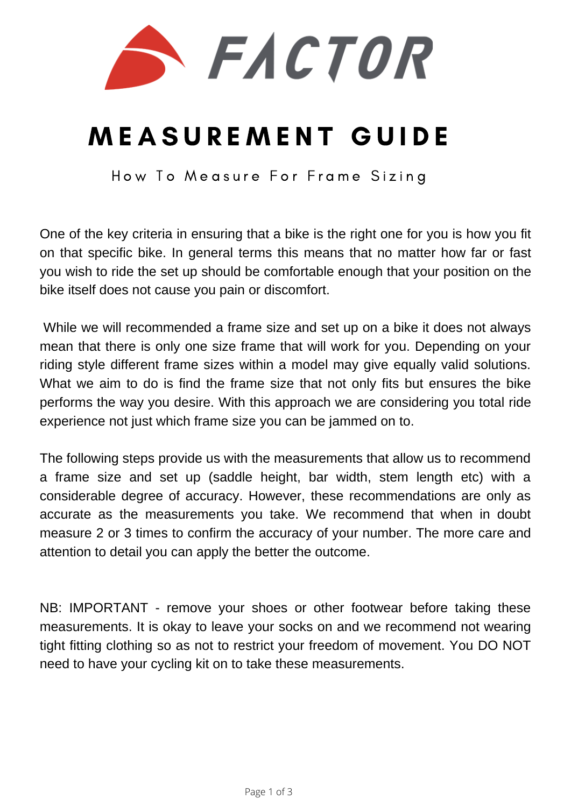

# M E A S U R E M E N T G U I D E

How To Measure For Frame Sizing

One of the key criteria in ensuring that a bike is the right one for you is how you fit on that specific bike. In general terms this means that no matter how far or fast you wish to ride the set up should be comfortable enough that your position on the bike itself does not cause you pain or discomfort.

While we will recommended a frame size and set up on a bike it does not always mean that there is only one size frame that will work for you. Depending on your riding style different frame sizes within a model may give equally valid solutions. What we aim to do is find the frame size that not only fits but ensures the bike performs the way you desire. With this approach we are considering you total ride experience not just which frame size you can be jammed on to.

The following steps provide us with the measurements that allow us to recommend a frame size and set up (saddle height, bar width, stem length etc) with a considerable degree of accuracy. However, these recommendations are only as accurate as the measurements you take. We recommend that when in doubt measure 2 or 3 times to confirm the accuracy of your number. The more care and attention to detail you can apply the better the outcome.

NB: IMPORTANT - remove your shoes or other footwear before taking these measurements. It is okay to leave your socks on and we recommend not wearing tight fitting clothing so as not to restrict your freedom of movement. You DO NOT need to have your cycling kit on to take these measurements.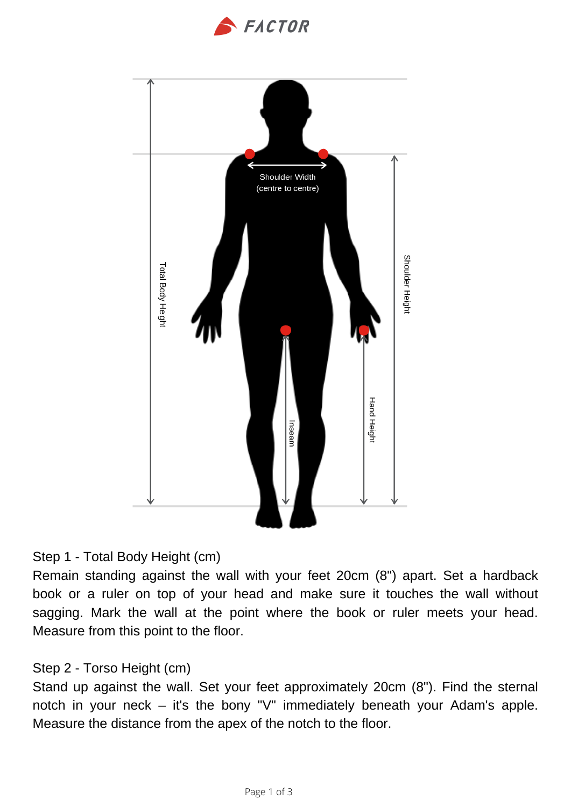



### Step 1 - Total Body Height (cm)

Remain standing against the wall with your feet 20cm (8") apart. Set a hardback book or a ruler on top of your head and make sure it touches the wall without sagging. Mark the wall at the point where the book or ruler meets your head. Measure from this point to the floor.

# Step 2 - Torso Height (cm)

Stand up against the wall. Set your feet approximately 20cm (8"). Find the sternal notch in your neck – it's the bony "V" immediately beneath your Adam's apple. Measure the distance from the apex of the notch to the floor.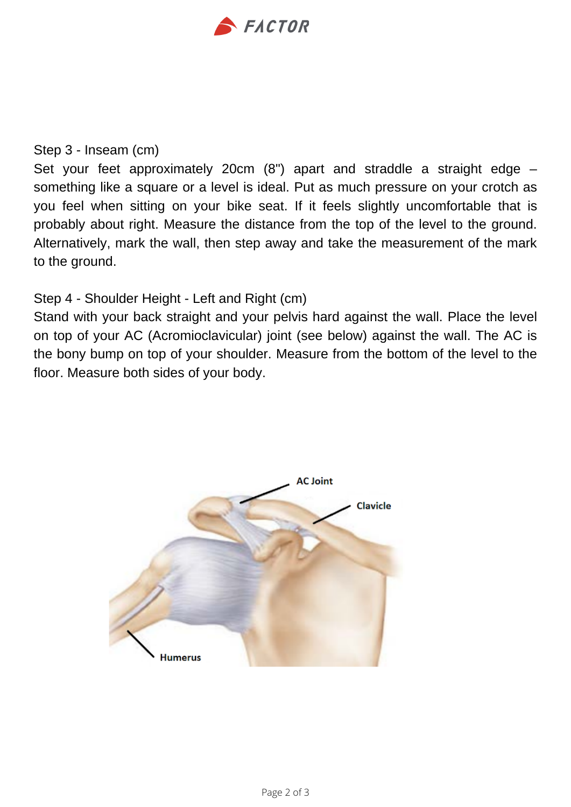

#### Step 3 - Inseam (cm)

Set your feet approximately 20cm (8") apart and straddle a straight edge – something like a square or a level is ideal. Put as much pressure on your crotch as you feel when sitting on your bike seat. If it feels slightly uncomfortable that is probably about right. Measure the distance from the top of the level to the ground. Alternatively, mark the wall, then step away and take the measurement of the mark to the ground.

## Step 4 - Shoulder Height - Left and Right (cm)

Stand with your back straight and your pelvis hard against the wall. Place the level on top of your AC (Acromioclavicular) joint (see below) against the wall. The AC is the bony bump on top of your shoulder. Measure from the bottom of the level to the floor. Measure both sides of your body.